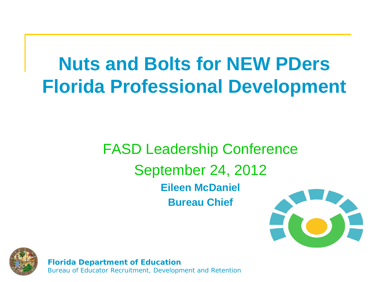### **Nuts and Bolts for NEW PDers Florida Professional Development**

FASD Leadership Conference September 24, 2012 **Eileen McDaniel Bureau Chief**





**Florida Department of Education** Bureau of Educator Recruitment, Development and Retention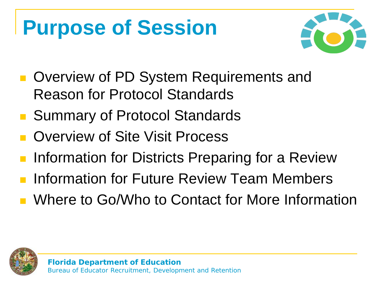### **Purpose of Session**



- **Overview of PD System Requirements and** Reason for Protocol Standards
- Summary of Protocol Standards
- Overview of Site Visit Process
- Information for Districts Preparing for a Review
- **Information for Future Review Team Members**
- Where to Go/Who to Contact for More Information

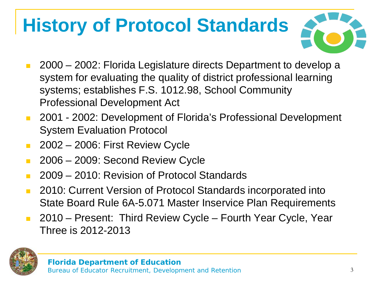### **History of Protocol Standards**



- 2000 2002: Florida Legislature directs Department to develop a system for evaluating the quality of district professional learning systems; establishes F.S. 1012.98, School Community Professional Development Act
- 2001 2002: Development of Florida's Professional Development System Evaluation Protocol
- **2002 2006: First Review Cycle**
- **2006 2009: Second Review Cycle**
- 2009 2010: Revision of Protocol Standards
- **2010: Current Version of Protocol Standards incorporated into** State Board Rule 6A-5.071 Master Inservice Plan Requirements
- 2010 Present: Third Review Cycle Fourth Year Cycle, Year Three is 2012-2013

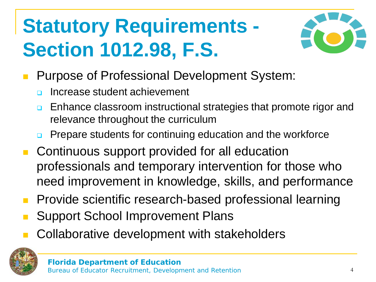### **Statutory Requirements - Section 1012.98, F.S.**



- **Purpose of Professional Development System:** 
	- **<u>n</u>** Increase student achievement
	- **Enhance classroom instructional strategies that promote rigor and** relevance throughout the curriculum
	- Prepare students for continuing education and the workforce
- **Continuous support provided for all education** professionals and temporary intervention for those who need improvement in knowledge, skills, and performance
- Provide scientific research-based professional learning
- Support School Improvement Plans
- Collaborative development with stakeholders

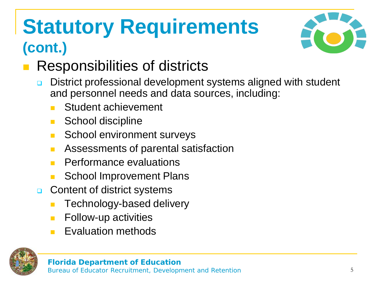### **Statutory Requirements (cont.)**



#### Responsibilities of districts

- **District professional development systems aligned with student** and personnel needs and data sources, including:
	- Student achievement
	- School discipline
	- School environment surveys
	- **Assessments of parental satisfaction**
	- Performance evaluations
	- School Improvement Plans
- **Q** Content of district systems
	- Technology-based delivery
	- **Follow-up activities**
	- Evaluation methods

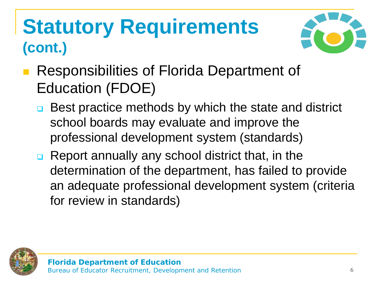### **Statutory Requirements (cont.)**



- Responsibilities of Florida Department of Education (FDOE)
	- **□** Best practice methods by which the state and district school boards may evaluate and improve the professional development system (standards)
	- Report annually any school district that, in the determination of the department, has failed to provide an adequate professional development system (criteria for review in standards)

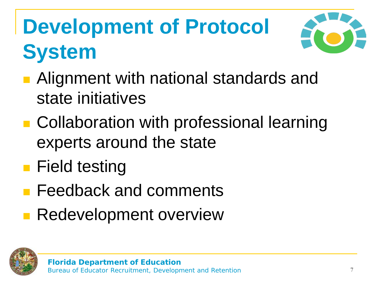# **Development of Protocol System**



- **Alignment with national standards and** state initiatives
- **Collaboration with professional learning** experts around the state
- **Field testing**
- **Feedback and comments**
- **Redevelopment overview**

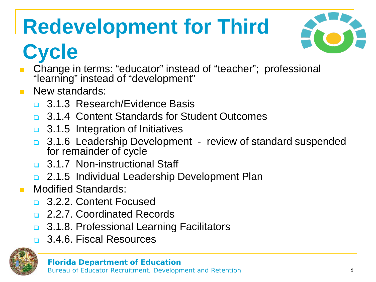# **Redevelopment for Third**



### **Cycle**

- Change in terms: "educator" instead of "teacher"; professional "learning" instead of "development"
- New standards:
	- **3.1.3 Research/Evidence Basis**
	- **a.** 3.1.4 Content Standards for Student Outcomes
	- **3.1.5 Integration of Initiatives**
	- 3.1.6 Leadership Development review of standard suspended for remainder of cycle
	- 3.1.7 Non-instructional Staff
	- **2.1.5 Individual Leadership Development Plan**
- Modified Standards:
	- **a** 3.2.2. Content Focused
	- 2.2.7. Coordinated Records
	- **3.1.8. Professional Learning Facilitators**
	- 3.4.6. Fiscal Resources

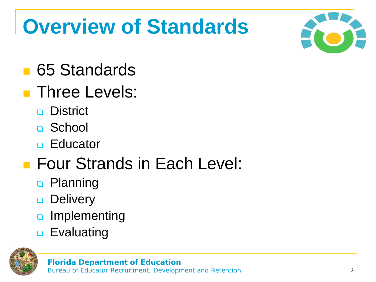### **Overview of Standards**



- **65 Standards**
- **Three Levels:** 
	- **District**
	- □ School
	- **D** Educator

#### **Four Strands in Each Level:**

- **D** Planning
- **Delivery**
- **a** Implementing
- **D** Evaluating

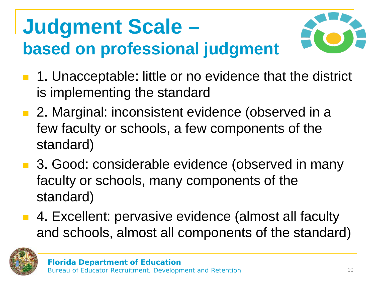### **Judgment Scale – based on professional judgment**



- 1. Unacceptable: little or no evidence that the district is implementing the standard
- 2. Marginal: inconsistent evidence (observed in a few faculty or schools, a few components of the standard)
- 3. Good: considerable evidence (observed in many faculty or schools, many components of the standard)
- 4. Excellent: pervasive evidence (almost all faculty and schools, almost all components of the standard)

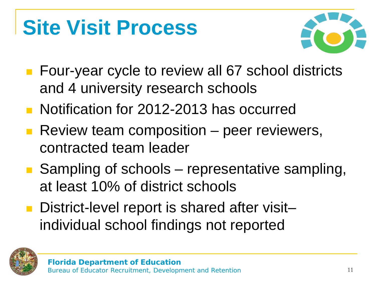### **Site Visit Process**



- Four-year cycle to review all 67 school districts and 4 university research schools
- Notification for 2012-2013 has occurred
- Review team composition  $-$  peer reviewers, contracted team leader
- Sampling of schools representative sampling, at least 10% of district schools
- District-level report is shared after visitindividual school findings not reported

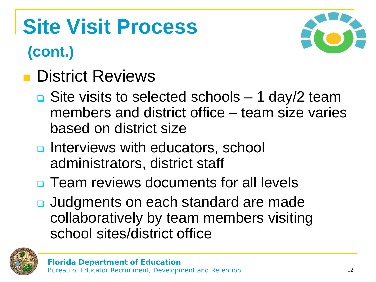## **Site Visit Process**

#### **(cont.)**



#### **District Reviews**

- $\Box$  Site visits to selected schools 1 day/2 team members and district office – team size varies based on district size
- **u** Interviews with educators, school administrators, district staff
- **<u>n</u>** Team reviews documents for all levels
- Judgments on each standard are made collaboratively by team members visiting school sites/district office

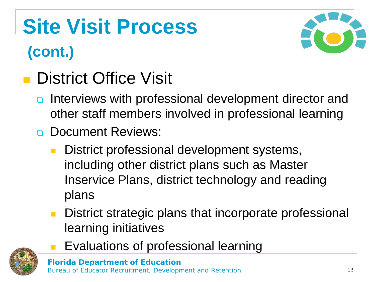# **Site Visit Process (cont.)**



#### **District Office Visit**

- n Interviews with professional development director and other staff members involved in professional learning
- **Document Reviews:** 
	- District professional development systems, including other district plans such as Master Inservice Plans, district technology and reading plans
	- District strategic plans that incorporate professional learning initiatives
		- Evaluations of professional learning

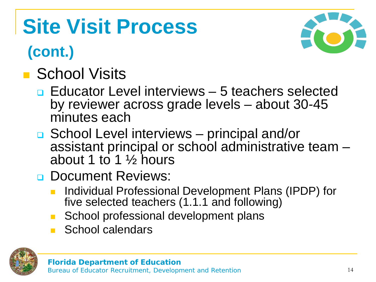## **Site Visit Process**

#### **(cont.)**

### **School Visits**

- **Educator Level interviews 5 teachers selected** by reviewer across grade levels – about 30-45 minutes each
- School Level interviews principal and/or assistant principal or school administrative team  $-$  about 1 to 1  $\frac{1}{2}$  hours
- **Document Reviews:** 
	- Individual Professional Development Plans (IPDP) for five selected teachers (1.1.1 and following)
	- School professional development plans
	- School calendars



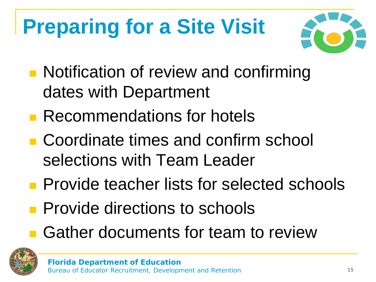# **Preparing for a Site Visit**



- **Notification of review and confirming** dates with Department
- **Recommendations for hotels**
- Coordinate times and confirm school selections with Team Leader
- **Provide teacher lists for selected schools**
- **Provide directions to schools**
- **Gather documents for team to review**

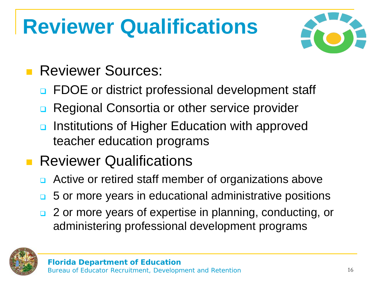## **Reviewer Qualifications**



#### **Reviewer Sources:**

- **EXECORE OF DATA:** Professional development staff
- Regional Consortia or other service provider
- **<u>n</u>** Institutions of Higher Education with approved teacher education programs

#### **Reviewer Qualifications**

- **EXTERG** Active or retired staff member of organizations above
- **5** or more years in educational administrative positions
- 2 or more years of expertise in planning, conducting, or administering professional development programs

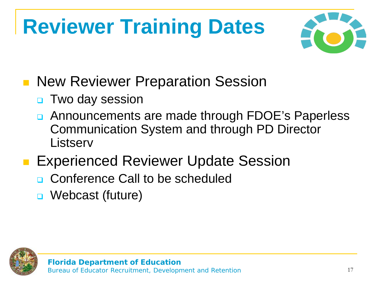# **Reviewer Training Dates**



- New Reviewer Preparation Session
	- **D** Two day session
	- Announcements are made through FDOE's Paperless Communication System and through PD Director **Listserv**
- **Experienced Reviewer Update Session** 
	- □ Conference Call to be scheduled
	- Webcast (future)

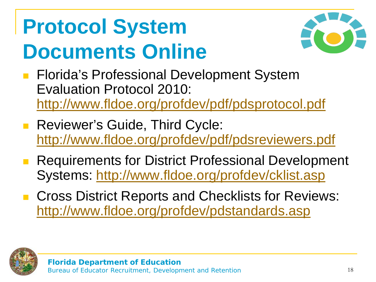## **Protocol System Documents Online**



- Florida's Professional Development System Evaluation Protocol 2010: <http://www.fldoe.org/profdev/pdf/pdsprotocol.pdf>
- **Reviewer's Guide, Third Cycle:** <http://www.fldoe.org/profdev/pdf/pdsreviewers.pdf>
- Requirements for District Professional Development Systems:<http://www.fldoe.org/profdev/cklist.asp>
- Cross District Reports and Checklists for Reviews: <http://www.fldoe.org/profdev/pdstandards.asp>